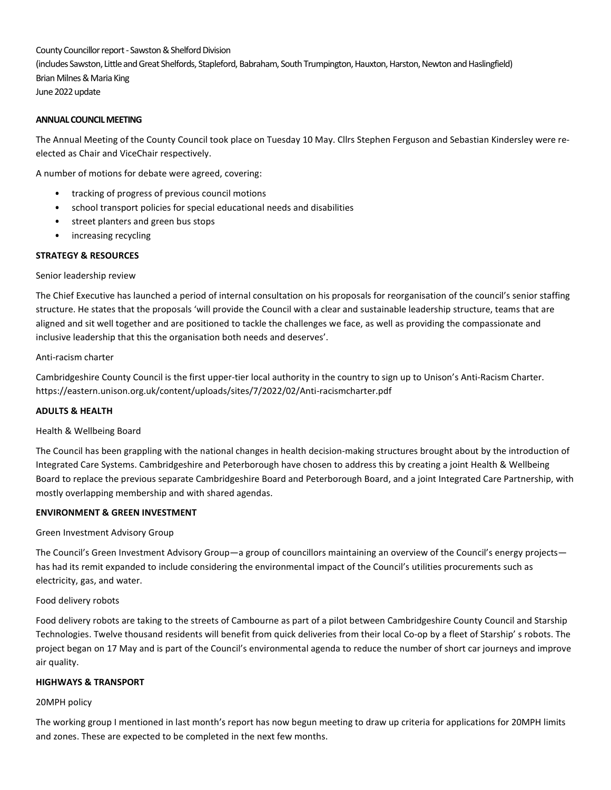County Councillor report - Sawston & Shelford Division (includes Sawston, Little and Great Shelfords, Stapleford, Babraham, South Trumpington, Hauxton, Harston, Newton and Haslingfield) Brian Milnes & Maria King June 2022 update

# ANNUAL COUNCIL MEETING

The Annual Meeting of the County Council took place on Tuesday 10 May. Cllrs Stephen Ferguson and Sebastian Kindersley were reelected as Chair and ViceChair respectively.

A number of motions for debate were agreed, covering:

- tracking of progress of previous council motions
- school transport policies for special educational needs and disabilities
- street planters and green bus stops
- increasing recycling

# STRATEGY & RESOURCES

## Senior leadership review

The Chief Executive has launched a period of internal consultation on his proposals for reorganisation of the council's senior staffing structure. He states that the proposals 'will provide the Council with a clear and sustainable leadership structure, teams that are aligned and sit well together and are positioned to tackle the challenges we face, as well as providing the compassionate and inclusive leadership that this the organisation both needs and deserves'.

## Anti-racism charter

Cambridgeshire County Council is the first upper-tier local authority in the country to sign up to Unison's Anti-Racism Charter. https://eastern.unison.org.uk/content/uploads/sites/7/2022/02/Anti-racismcharter.pdf

# ADULTS & HEALTH

## Health & Wellbeing Board

The Council has been grappling with the national changes in health decision-making structures brought about by the introduction of Integrated Care Systems. Cambridgeshire and Peterborough have chosen to address this by creating a joint Health & Wellbeing Board to replace the previous separate Cambridgeshire Board and Peterborough Board, and a joint Integrated Care Partnership, with mostly overlapping membership and with shared agendas.

## ENVIRONMENT & GREEN INVESTMENT

#### Green Investment Advisory Group

The Council's Green Investment Advisory Group—a group of councillors maintaining an overview of the Council's energy projects has had its remit expanded to include considering the environmental impact of the Council's utilities procurements such as electricity, gas, and water.

## Food delivery robots

Food delivery robots are taking to the streets of Cambourne as part of a pilot between Cambridgeshire County Council and Starship Technologies. Twelve thousand residents will benefit from quick deliveries from their local Co-op by a fleet of Starship' s robots. The project began on 17 May and is part of the Council's environmental agenda to reduce the number of short car journeys and improve air quality.

## HIGHWAYS & TRANSPORT

#### 20MPH policy

The working group I mentioned in last month's report has now begun meeting to draw up criteria for applications for 20MPH limits and zones. These are expected to be completed in the next few months.